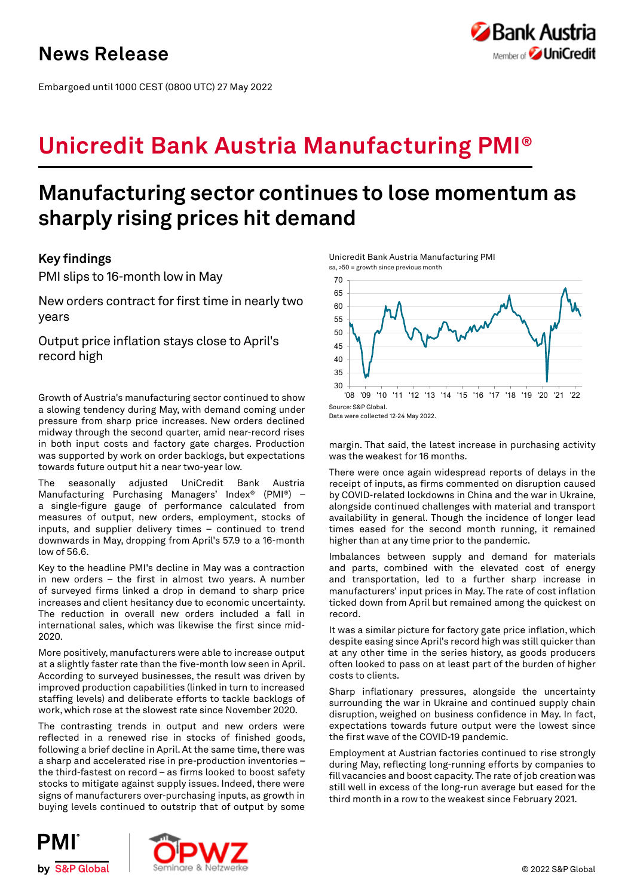Embargoed until 1000 CEST (0800 UTC) 27 May 2022



# **Unicredit Bank Austria Manufacturing PMI®**

# **Manufacturing sector continues to lose momentum as sharply rising prices hit demand**

# **Key findings**

PMI slips to 16-month low in May

New orders contract for first time in nearly two years

Output price inflation stays close to April's record high

Growth of Austria's manufacturing sector continued to show a slowing tendency during May, with demand coming under pressure from sharp price increases. New orders declined midway through the second quarter, amid near-record rises in both input costs and factory gate charges. Production was supported by work on order backlogs, but expectations towards future output hit a near two-year low.

The seasonally adjusted UniCredit Bank Austria Manufacturing Purchasing Managers' Index® (PMI®) – a single-figure gauge of performance calculated from measures of output, new orders, employment, stocks of inputs, and supplier delivery times – continued to trend downwards in May, dropping from April's 57.9 to a 16-month low of 56.6.

Key to the headline PMI's decline in May was a contraction in new orders – the first in almost two years. A number of surveyed firms linked a drop in demand to sharp price increases and client hesitancy due to economic uncertainty. The reduction in overall new orders included a fall in international sales, which was likewise the first since mid-2020.

More positively, manufacturers were able to increase output at a slightly faster rate than the five-month low seen in April. According to surveyed businesses, the result was driven by improved production capabilities (linked in turn to increased staffing levels) and deliberate efforts to tackle backlogs of work, which rose at the slowest rate since November 2020.

The contrasting trends in output and new orders were reflected in a renewed rise in stocks of finished goods, following a brief decline in April. At the same time, there was a sharp and accelerated rise in pre-production inventories – the third-fastest on record – as firms looked to boost safety stocks to mitigate against supply issues. Indeed, there were signs of manufacturers over-purchasing inputs, as growth in buying levels continued to outstrip that of output by some





Data were collected 12-24 May 2022.

margin. That said, the latest increase in purchasing activity was the weakest for 16 months.

There were once again widespread reports of delays in the receipt of inputs, as firms commented on disruption caused by COVID-related lockdowns in China and the war in Ukraine, alongside continued challenges with material and transport availability in general. Though the incidence of longer lead times eased for the second month running, it remained higher than at any time prior to the pandemic.

Imbalances between supply and demand for materials and parts, combined with the elevated cost of energy and transportation, led to a further sharp increase in manufacturers' input prices in May. The rate of cost inflation ticked down from April but remained among the quickest on record.

It was a similar picture for factory gate price inflation, which despite easing since April's record high was still quicker than at any other time in the series history, as goods producers often looked to pass on at least part of the burden of higher costs to clients.

Sharp inflationary pressures, alongside the uncertainty surrounding the war in Ukraine and continued supply chain disruption, weighed on business confidence in May. In fact, expectations towards future output were the lowest since the first wave of the COVID-19 pandemic.

Employment at Austrian factories continued to rise strongly during May, reflecting long-running efforts by companies to fill vacancies and boost capacity. The rate of job creation was still well in excess of the long-run average but eased for the third month in a row to the weakest since February 2021.